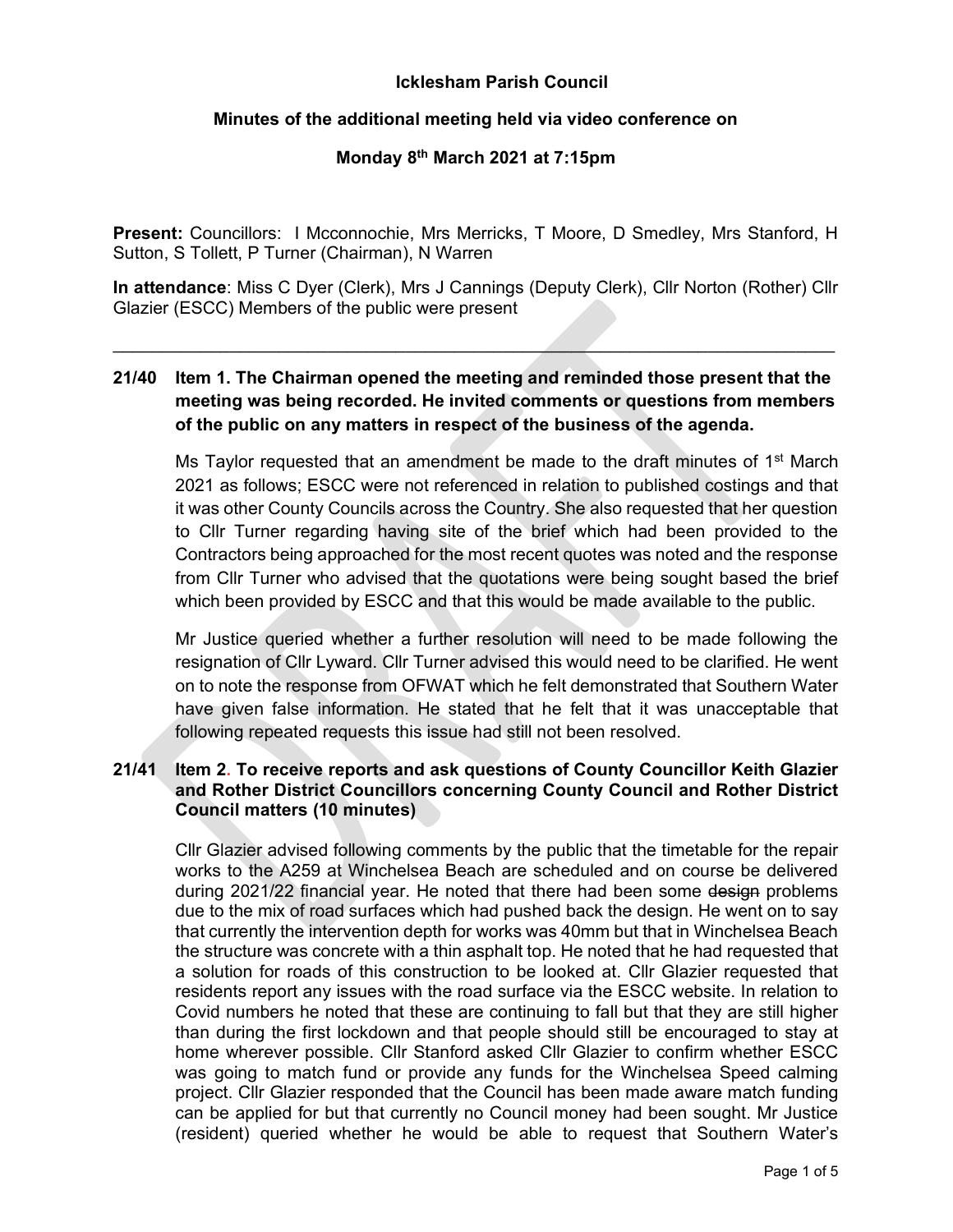# Icklesham Parish Council

### Minutes of the additional meeting held via video conference on

### Monday 8th March 2021 at 7:15pm

Present: Councillors: I Mcconnochie, Mrs Merricks, T Moore, D Smedley, Mrs Stanford, H Sutton, S Tollett, P Turner (Chairman), N Warren

In attendance: Miss C Dyer (Clerk), Mrs J Cannings (Deputy Clerk), Cllr Norton (Rother) Cllr Glazier (ESCC) Members of the public were present

 $\mathcal{L}_\text{max}$  and the contract of the contract of the contract of the contract of the contract of the contract of the contract of the contract of the contract of the contract of the contract of the contract of the contrac

# 21/40 Item 1. The Chairman opened the meeting and reminded those present that the meeting was being recorded. He invited comments or questions from members of the public on any matters in respect of the business of the agenda.

Ms Taylor requested that an amendment be made to the draft minutes of 1<sup>st</sup> March 2021 as follows; ESCC were not referenced in relation to published costings and that it was other County Councils across the Country. She also requested that her question to Cllr Turner regarding having site of the brief which had been provided to the Contractors being approached for the most recent quotes was noted and the response from Cllr Turner who advised that the quotations were being sought based the brief which been provided by ESCC and that this would be made available to the public.

Mr Justice queried whether a further resolution will need to be made following the resignation of Cllr Lyward. Cllr Turner advised this would need to be clarified. He went on to note the response from OFWAT which he felt demonstrated that Southern Water have given false information. He stated that he felt that it was unacceptable that following repeated requests this issue had still not been resolved.

# 21/41 Item 2. To receive reports and ask questions of County Councillor Keith Glazier and Rother District Councillors concerning County Council and Rother District Council matters (10 minutes)

 Cllr Glazier advised following comments by the public that the timetable for the repair works to the A259 at Winchelsea Beach are scheduled and on course be delivered during 2021/22 financial year. He noted that there had been some design problems due to the mix of road surfaces which had pushed back the design. He went on to say that currently the intervention depth for works was 40mm but that in Winchelsea Beach the structure was concrete with a thin asphalt top. He noted that he had requested that a solution for roads of this construction to be looked at. Cllr Glazier requested that residents report any issues with the road surface via the ESCC website. In relation to Covid numbers he noted that these are continuing to fall but that they are still higher than during the first lockdown and that people should still be encouraged to stay at home wherever possible. Cllr Stanford asked Cllr Glazier to confirm whether ESCC was going to match fund or provide any funds for the Winchelsea Speed calming project. Cllr Glazier responded that the Council has been made aware match funding can be applied for but that currently no Council money had been sought. Mr Justice (resident) queried whether he would be able to request that Southern Water's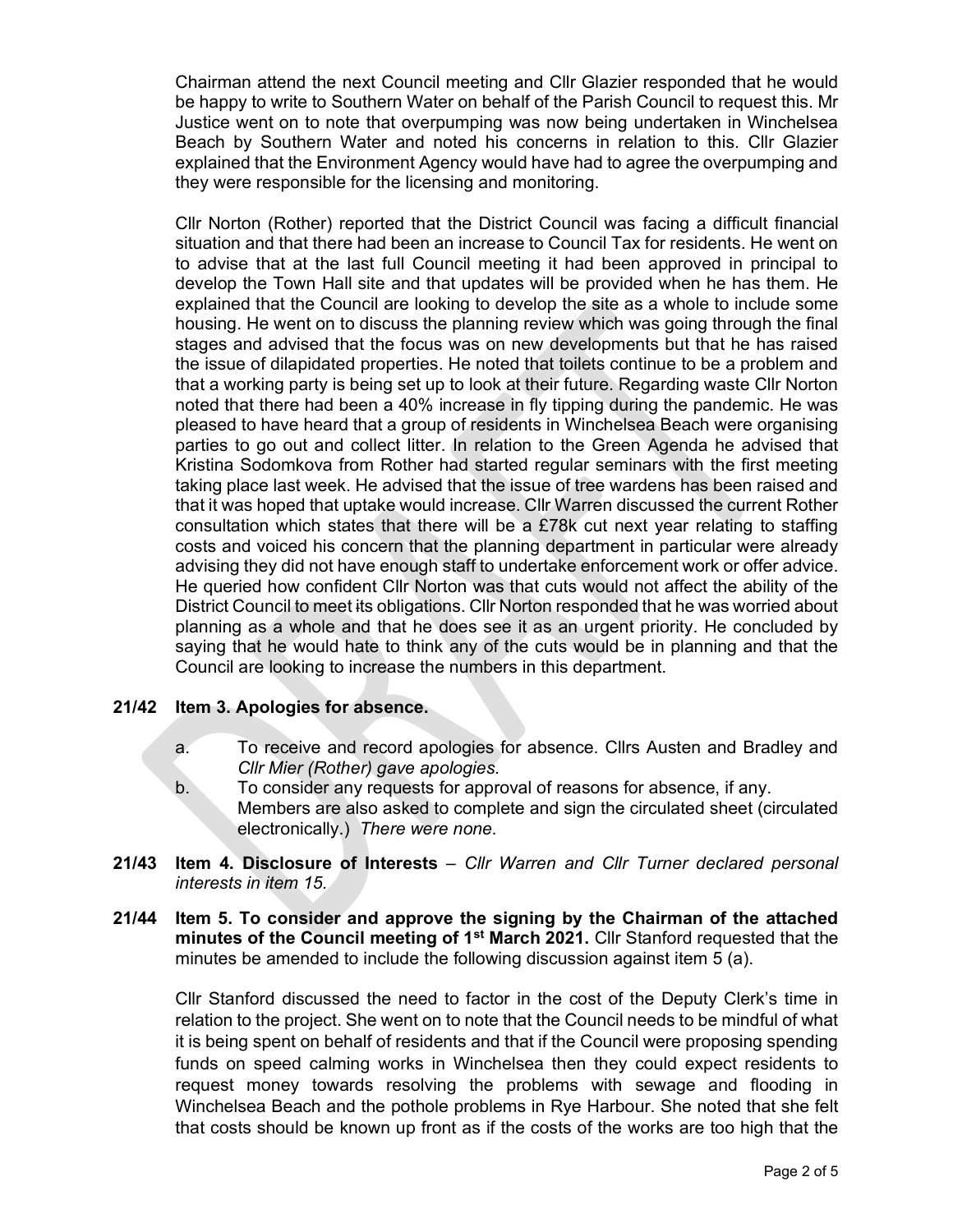Chairman attend the next Council meeting and Cllr Glazier responded that he would be happy to write to Southern Water on behalf of the Parish Council to request this. Mr Justice went on to note that overpumping was now being undertaken in Winchelsea Beach by Southern Water and noted his concerns in relation to this. Cllr Glazier explained that the Environment Agency would have had to agree the overpumping and they were responsible for the licensing and monitoring.

 Cllr Norton (Rother) reported that the District Council was facing a difficult financial situation and that there had been an increase to Council Tax for residents. He went on to advise that at the last full Council meeting it had been approved in principal to develop the Town Hall site and that updates will be provided when he has them. He explained that the Council are looking to develop the site as a whole to include some housing. He went on to discuss the planning review which was going through the final stages and advised that the focus was on new developments but that he has raised the issue of dilapidated properties. He noted that toilets continue to be a problem and that a working party is being set up to look at their future. Regarding waste Cllr Norton noted that there had been a 40% increase in fly tipping during the pandemic. He was pleased to have heard that a group of residents in Winchelsea Beach were organising parties to go out and collect litter. In relation to the Green Agenda he advised that Kristina Sodomkova from Rother had started regular seminars with the first meeting taking place last week. He advised that the issue of tree wardens has been raised and that it was hoped that uptake would increase. Cllr Warren discussed the current Rother consultation which states that there will be a £78k cut next year relating to staffing costs and voiced his concern that the planning department in particular were already advising they did not have enough staff to undertake enforcement work or offer advice. He queried how confident Cllr Norton was that cuts would not affect the ability of the District Council to meet its obligations. Cllr Norton responded that he was worried about planning as a whole and that he does see it as an urgent priority. He concluded by saying that he would hate to think any of the cuts would be in planning and that the Council are looking to increase the numbers in this department.

# 21/42 Item 3. Apologies for absence.

- a. To receive and record apologies for absence. Cllrs Austen and Bradley and Cllr Mier (Rother) gave apologies.
- b. To consider any requests for approval of reasons for absence, if any. Members are also asked to complete and sign the circulated sheet (circulated electronically.) There were none.
- 21/43 Item 4. Disclosure of Interests Cllr Warren and Cllr Turner declared personal interests in item 15.
- 21/44 Item 5. To consider and approve the signing by the Chairman of the attached minutes of the Council meeting of 1<sup>st</sup> March 2021. Cllr Stanford requested that the minutes be amended to include the following discussion against item 5 (a).

Cllr Stanford discussed the need to factor in the cost of the Deputy Clerk's time in relation to the project. She went on to note that the Council needs to be mindful of what it is being spent on behalf of residents and that if the Council were proposing spending funds on speed calming works in Winchelsea then they could expect residents to request money towards resolving the problems with sewage and flooding in Winchelsea Beach and the pothole problems in Rye Harbour. She noted that she felt that costs should be known up front as if the costs of the works are too high that the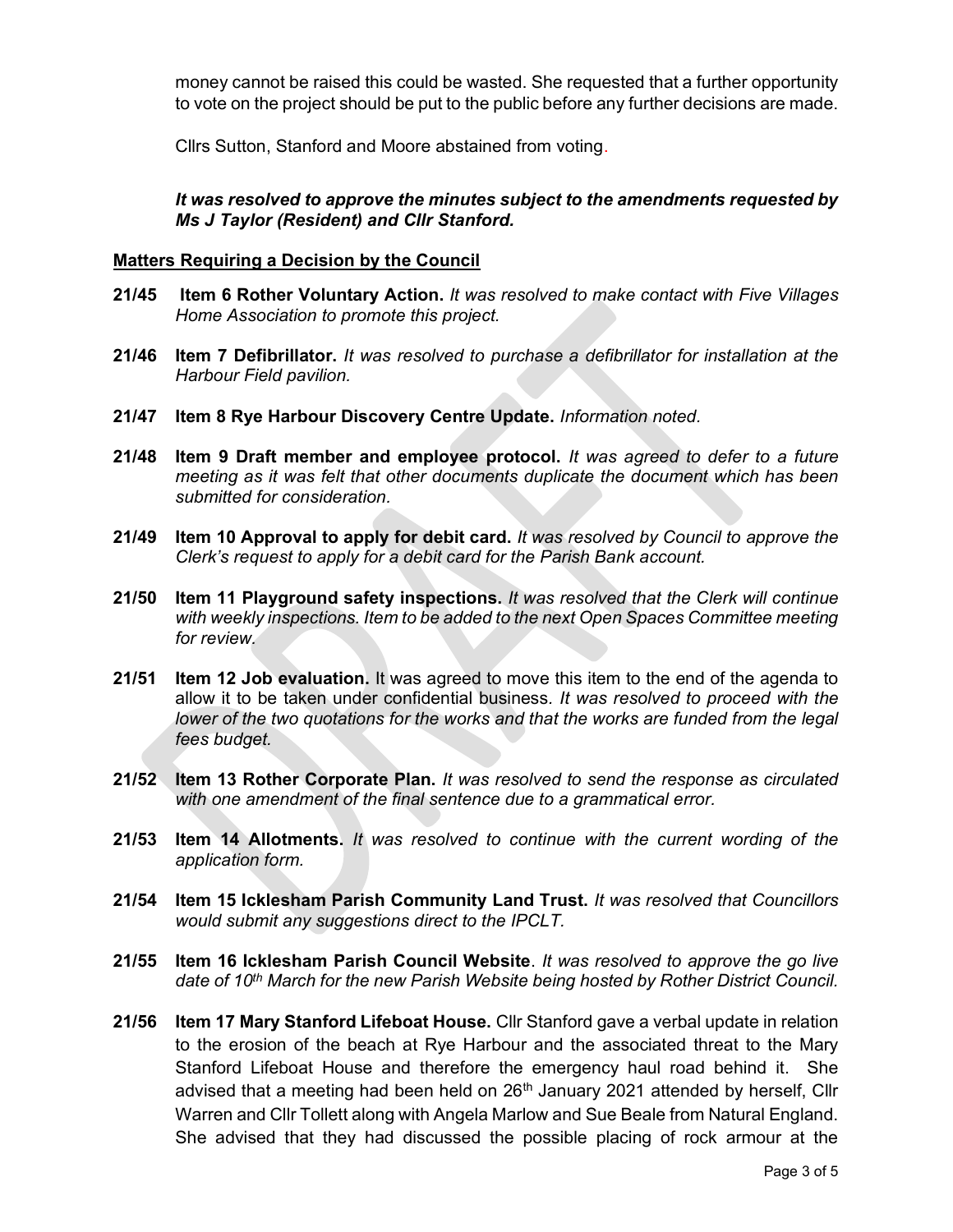money cannot be raised this could be wasted. She requested that a further opportunity to vote on the project should be put to the public before any further decisions are made.

Cllrs Sutton, Stanford and Moore abstained from voting.

It was resolved to approve the minutes subject to the amendments requested by Ms J Taylor (Resident) and Cllr Stanford.

#### Matters Requiring a Decision by the Council

- 21/45 Item 6 Rother Voluntary Action. It was resolved to make contact with Five Villages Home Association to promote this project.
- 21/46 Item 7 Defibrillator. It was resolved to purchase a defibrillator for installation at the Harbour Field pavilion.
- 21/47 Item 8 Rye Harbour Discovery Centre Update. Information noted.
- 21/48 Item 9 Draft member and employee protocol. It was agreed to defer to a future meeting as it was felt that other documents duplicate the document which has been submitted for consideration.
- 21/49 Item 10 Approval to apply for debit card. It was resolved by Council to approve the Clerk's request to apply for a debit card for the Parish Bank account.
- 21/50 Item 11 Playground safety inspections. It was resolved that the Clerk will continue with weekly inspections. Item to be added to the next Open Spaces Committee meeting for review.
- 21/51 **Item 12 Job evaluation.** It was agreed to move this item to the end of the agenda to allow it to be taken under confidential business. It was resolved to proceed with the lower of the two quotations for the works and that the works are funded from the legal fees budget.
- 21/52 Item 13 Rother Corporate Plan. It was resolved to send the response as circulated with one amendment of the final sentence due to a grammatical error.
- 21/53 Item 14 Allotments. It was resolved to continue with the current wording of the application form.
- 21/54 Item 15 Icklesham Parish Community Land Trust. It was resolved that Councillors would submit any suggestions direct to the IPCLT.
- 21/55 Item 16 Icklesham Parish Council Website. It was resolved to approve the go live date of 10<sup>th</sup> March for the new Parish Website being hosted by Rother District Council.
- 21/56 Item 17 Mary Stanford Lifeboat House. Cllr Stanford gave a verbal update in relation to the erosion of the beach at Rye Harbour and the associated threat to the Mary Stanford Lifeboat House and therefore the emergency haul road behind it. She advised that a meeting had been held on  $26<sup>th</sup>$  January 2021 attended by herself. Cllr Warren and Cllr Tollett along with Angela Marlow and Sue Beale from Natural England. She advised that they had discussed the possible placing of rock armour at the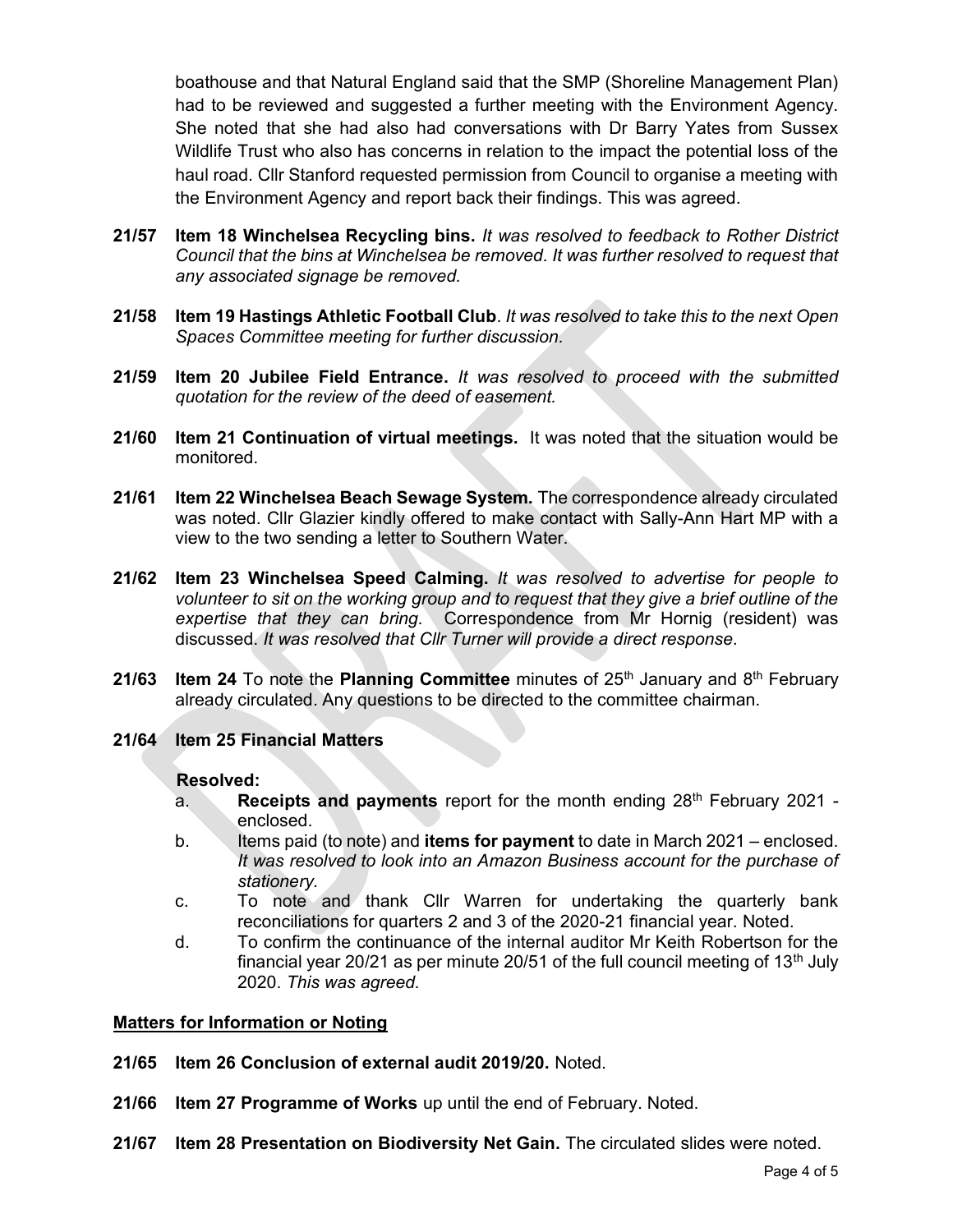boathouse and that Natural England said that the SMP (Shoreline Management Plan) had to be reviewed and suggested a further meeting with the Environment Agency. She noted that she had also had conversations with Dr Barry Yates from Sussex Wildlife Trust who also has concerns in relation to the impact the potential loss of the haul road. Cllr Stanford requested permission from Council to organise a meeting with the Environment Agency and report back their findings. This was agreed.

- 21/57 Item 18 Winchelsea Recycling bins. It was resolved to feedback to Rother District Council that the bins at Winchelsea be removed. It was further resolved to request that any associated signage be removed.
- 21/58 Item 19 Hastings Athletic Football Club. It was resolved to take this to the next Open Spaces Committee meeting for further discussion.
- 21/59 Item 20 Jubilee Field Entrance. It was resolved to proceed with the submitted quotation for the review of the deed of easement.
- 21/60 Item 21 Continuation of virtual meetings. It was noted that the situation would be monitored.
- 21/61 Item 22 Winchelsea Beach Sewage System. The correspondence already circulated was noted. Cllr Glazier kindly offered to make contact with Sally-Ann Hart MP with a view to the two sending a letter to Southern Water.
- 21/62 Item 23 Winchelsea Speed Calming. It was resolved to advertise for people to volunteer to sit on the working group and to request that they give a brief outline of the expertise that they can bring. Correspondence from Mr Hornig (resident) was discussed. It was resolved that Cllr Turner will provide a direct response.
- 21/63 Item 24 To note the Planning Committee minutes of  $25<sup>th</sup>$  January and  $8<sup>th</sup>$  February already circulated. Any questions to be directed to the committee chairman.
- 21/64 Item 25 Financial Matters

#### Resolved:

- a. Receipts and payments report for the month ending  $28<sup>th</sup>$  February 2021 enclosed.
- b. Items paid (to note) and **items for payment** to date in March 2021 enclosed. It was resolved to look into an Amazon Business account for the purchase of stationery.
- c. To note and thank Cllr Warren for undertaking the quarterly bank reconciliations for quarters 2 and 3 of the 2020-21 financial year. Noted.
- d. To confirm the continuance of the internal auditor Mr Keith Robertson for the financial year 20/21 as per minute 20/51 of the full council meeting of  $13<sup>th</sup>$  July 2020. This was agreed.

#### Matters for Information or Noting

- 21/65 Item 26 Conclusion of external audit 2019/20. Noted.
- 21/66 Item 27 Programme of Works up until the end of February. Noted.
- 21/67 Item 28 Presentation on Biodiversity Net Gain. The circulated slides were noted.